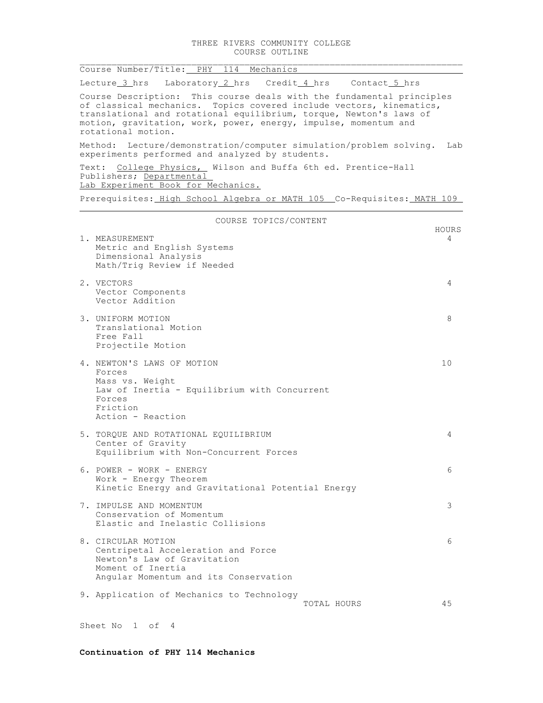|                                                                                                                                                                                                                                                                                                             | Course Number/Title: PHY 114 Mechanics                                                                                                                |            |  |  |
|-------------------------------------------------------------------------------------------------------------------------------------------------------------------------------------------------------------------------------------------------------------------------------------------------------------|-------------------------------------------------------------------------------------------------------------------------------------------------------|------------|--|--|
|                                                                                                                                                                                                                                                                                                             | Lecture 3 hrs Laboratory 2 hrs Credit 4 hrs Contact 5 hrs                                                                                             |            |  |  |
| Course Description: This course deals with the fundamental principles<br>of classical mechanics. Topics covered include vectors, kinematics,<br>translational and rotational equilibrium, torque, Newton's laws of<br>motion, gravitation, work, power, energy, impulse, momentum and<br>rotational motion. |                                                                                                                                                       |            |  |  |
| Method: Lecture/demonstration/computer simulation/problem solving.<br>Lab<br>experiments performed and analyzed by students.                                                                                                                                                                                |                                                                                                                                                       |            |  |  |
| Text: College Physics, Wilson and Buffa 6th ed. Prentice-Hall<br>Publishers; Departmental<br>Lab Experiment Book for Mechanics.                                                                                                                                                                             |                                                                                                                                                       |            |  |  |
| Prerequisites: High School Algebra or MATH 105 Co-Requisites: MATH 109                                                                                                                                                                                                                                      |                                                                                                                                                       |            |  |  |
| COURSE TOPICS/CONTENT                                                                                                                                                                                                                                                                                       |                                                                                                                                                       |            |  |  |
|                                                                                                                                                                                                                                                                                                             | 1. MEASUREMENT                                                                                                                                        | HOURS<br>4 |  |  |
|                                                                                                                                                                                                                                                                                                             | Metric and English Systems                                                                                                                            |            |  |  |
|                                                                                                                                                                                                                                                                                                             | Dimensional Analysis<br>Math/Trig Review if Needed                                                                                                    |            |  |  |
|                                                                                                                                                                                                                                                                                                             | 2. VECTORS                                                                                                                                            | 4          |  |  |
|                                                                                                                                                                                                                                                                                                             | Vector Components<br>Vector Addition                                                                                                                  |            |  |  |
|                                                                                                                                                                                                                                                                                                             | 3. UNIFORM MOTION<br>Translational Motion<br>Free Fall<br>Projectile Motion                                                                           | 8          |  |  |
|                                                                                                                                                                                                                                                                                                             | 4. NEWTON'S LAWS OF MOTION<br>Forces                                                                                                                  | 10         |  |  |
|                                                                                                                                                                                                                                                                                                             | Mass vs. Weight<br>Law of Inertia - Equilibrium with Concurrent<br>Forces<br>Friction<br>Action - Reaction                                            |            |  |  |
|                                                                                                                                                                                                                                                                                                             |                                                                                                                                                       |            |  |  |
|                                                                                                                                                                                                                                                                                                             | 5. TORQUE AND ROTATIONAL EQUILIBRIUM<br>Center of Gravity<br>Equilibrium with Non-Concurrent Forces                                                   | 4          |  |  |
|                                                                                                                                                                                                                                                                                                             | 6. POWER - WORK - ENERGY                                                                                                                              | 6          |  |  |
|                                                                                                                                                                                                                                                                                                             | Work - Energy Theorem<br>Kinetic Energy and Gravitational Potential Energy                                                                            |            |  |  |
|                                                                                                                                                                                                                                                                                                             | 7. IMPULSE AND MOMENTUM<br>Conservation of Momentum<br>Elastic and Inelastic Collisions                                                               | 3          |  |  |
|                                                                                                                                                                                                                                                                                                             | 8. CIRCULAR MOTION<br>Centripetal Acceleration and Force<br>Newton's Law of Gravitation<br>Moment of Inertia<br>Angular Momentum and its Conservation | 6          |  |  |
|                                                                                                                                                                                                                                                                                                             | 9. Application of Mechanics to Technology<br>TOTAL HOURS                                                                                              | 45         |  |  |
|                                                                                                                                                                                                                                                                                                             |                                                                                                                                                       |            |  |  |

Sheet No 1 of 4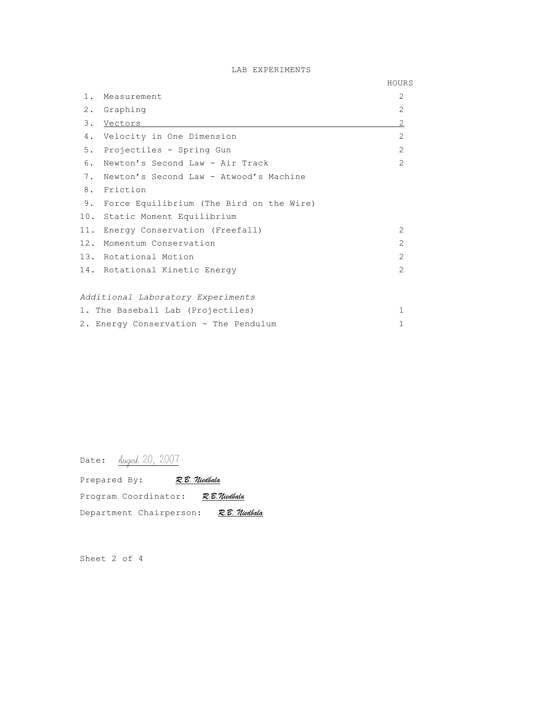## LAB EXPERIMENTS

|       |                                          | HOURS          |
|-------|------------------------------------------|----------------|
| $1$ . | Measurement                              | $\overline{2}$ |
| 2.    | Graphing                                 | $\overline{2}$ |
| 3.    | Vectors                                  | 2              |
| 4.    | Velocity in One Dimension                | 2              |
| 5.    | Projectiles - Spring Gun                 | $\overline{2}$ |
| 6.    | Newton's Second Law - Air Track          | $\mathcal{L}$  |
| 7.    | Newton's Second Law - Atwood's Machine   |                |
|       | 8. Friction                              |                |
| 9.    | Force Equilibrium (The Bird on the Wire) |                |
|       | 10. Static Moment Equilibrium            |                |
| 11.   | Energy Conservation (Freefall)           | $\mathcal{L}$  |
|       | 12. Momentum Conservation                | $\mathcal{L}$  |
|       | 13. Rotational Motion                    | $\mathcal{L}$  |
|       | 14. Rotational Kinetic Energy            | 2              |
|       |                                          |                |
|       | Additional Laboratory Experiments        |                |
|       | 1. The Baseball Lab (Projectiles)        | 1              |
|       | 2. Energy Conservation - The Pendulum    | 1              |

Date: <u>Augest</u> 20, 2007

| Prepared By:         | R. B. Niedbala          |                |
|----------------------|-------------------------|----------------|
| Program Coordinator: |                         | R. B. Niedbala |
|                      | Department Chairperson: | R. B. Niedbala |

Sheet 2 of 4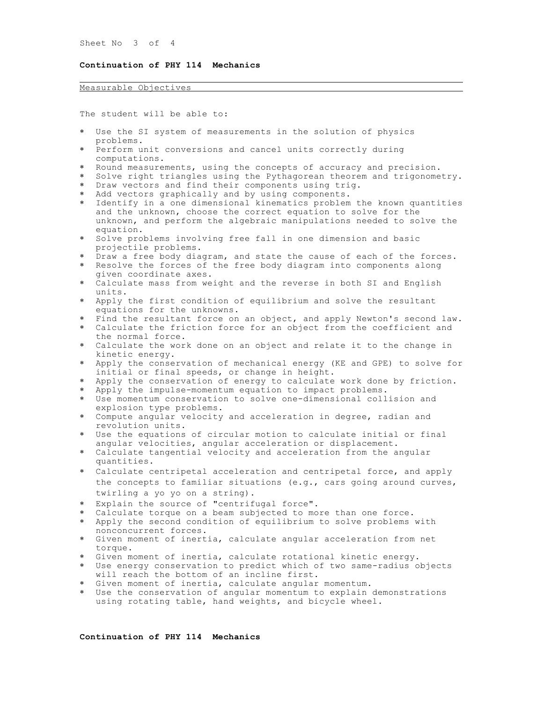Sheet No 3 of 4

## **Continuation of PHY 114 Mechanics**

## Measurable Objectives

The student will be able to:

- Use the SI system of measurements in the solution of physics problems.
- Perform unit conversions and cancel units correctly during computations.
- Round measurements, using the concepts of accuracy and precision.
- \* Solve right triangles using the Pythagorean theorem and trigonometry.
- Draw vectors and find their components using trig.
- Add vectors graphically and by using components.
- Identify in a one dimensional kinematics problem the known quantities and the unknown, choose the correct equation to solve for the unknown, and perform the algebraic manipulations needed to solve the equation.
- \* Solve problems involving free fall in one dimension and basic projectile problems.
- \* Draw a free body diagram, and state the cause of each of the forces.
- Resolve the forces of the free body diagram into components along given coordinate axes.
- Calculate mass from weight and the reverse in both SI and English units.
- Apply the first condition of equilibrium and solve the resultant equations for the unknowns.
- Find the resultant force on an object, and apply Newton's second law.
- Calculate the friction force for an object from the coefficient and the normal force.
- Calculate the work done on an object and relate it to the change in kinetic energy.
- Apply the conservation of mechanical energy (KE and GPE) to solve for initial or final speeds, or change in height.
- \* Apply the conservation of energy to calculate work done by friction.
- \* Apply the impulse-momentum equation to impact problems.
- Use momentum conservation to solve one-dimensional collision and explosion type problems.
- Compute angular velocity and acceleration in degree, radian and revolution units.
- Use the equations of circular motion to calculate initial or final angular velocities, angular acceleration or displacement.
- Calculate tangential velocity and acceleration from the angular quantities.
- Calculate centripetal acceleration and centripetal force, and apply the concepts to familiar situations (e.g., cars going around curves, twirling a yo yo on a string).
- Explain the source of "centrifugal force".
- Calculate torque on a beam subjected to more than one force.
- Apply the second condition of equilibrium to solve problems with nonconcurrent forces.
- Given moment of inertia, calculate angular acceleration from net torque.
- Given moment of inertia, calculate rotational kinetic energy.
- Use energy conservation to predict which of two same-radius objects will reach the bottom of an incline first.
- Given moment of inertia, calculate angular momentum.
- Use the conservation of angular momentum to explain demonstrations using rotating table, hand weights, and bicycle wheel.